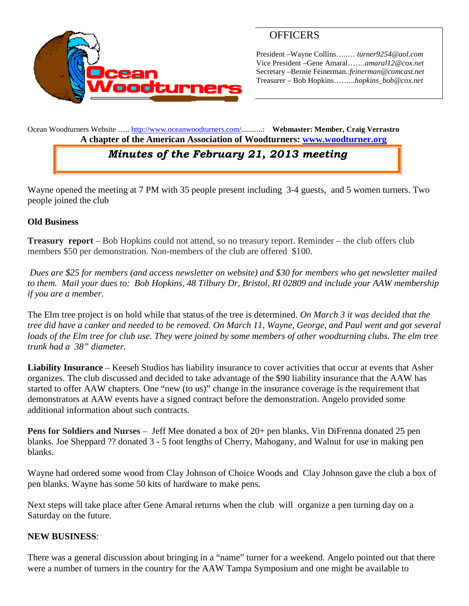

## **OFFICERS**

President –Wayne Collins…..… *turner9254@aol.com* Vice President –Gene Amaral…….*amaral12@cox.net* Secretary –Bernie Feinerman*..feinerman@comcast.net* Treasurer – Bob Hopkins……...*hopkins\_bob@cox.net*

Ocean Woodturners Website ….. <http://www.oceanwoodturners.com/>...........: **Webmaster: Member, Craig Verrastro A chapter of the American Association of Woodturners: [www.woodturner.org](http://www.woodturner.org/)**

# *Minutes of the February 21, 2013 meeting*

Wayne opened the meeting at 7 PM with 35 people present including 3-4 guests, and 5 women turners. Two people joined the club

### **Old Business**

**Treasury report** – Bob Hopkins could not attend, so no treasury report. Reminder – the club offers club members \$50 per demonstration. Non-members of the club are offered \$100.

*Dues are \$25 for members (and access newsletter on website) and \$30 for members who get newsletter mailed to them. Mail your dues to: Bob Hopkins, 48 Tilbury Dr, Bristol, RI 02809 and include your AAW membership if you are a member.*

The Elm tree project is on hold while that status of the tree is determined. *On March 3 it was decided that the tree did have a canker and needed to be removed. On March 11, Wayne, George, and Paul went and got several loads of the Elm tree for club use. They were joined by some members of other woodturning clubs. The elm tree trunk had a 38" diameter.*

**Liability Insurance** – Keeseh Studios has liability insurance to cover activities that occur at events that Asher organizes. The club discussed and decided to take advantage of the \$90 liability insurance that the AAW has started to offer AAW chapters. One "new (to us)" change in the insurance coverage is the requirement that demonstrators at AAW events have a signed contract before the demonstration. Angelo provided some additional information about such contracts.

**Pens for Soldiers and Nurses** – Jeff Mee donated a box of 20+ pen blanks. Vin DiFrenna donated 25 pen blanks. Joe Sheppard ?? donated 3 - 5 foot lengths of Cherry, Mahogany, and Walnut for use in making pen blanks.

Wayne had ordered some wood from Clay Johnson of Choice Woods and Clay Johnson gave the club a box of pen blanks. Wayne has some 50 kits of hardware to make pens.

Next steps will take place after Gene Amaral returns when the club will organize a pen turning day on a Saturday on the future.

#### **NEW BUSINESS**:

There was a general discussion about bringing in a "name" turner for a weekend. Angelo pointed out that there were a number of turners in the country for the AAW Tampa Symposium and one might be available to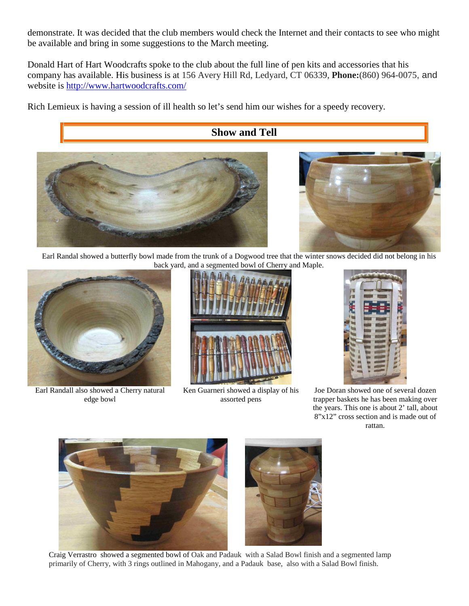demonstrate. It was decided that the club members would check the Internet and their contacts to see who might be available and bring in some suggestions to the March meeting.

Donald Hart of Hart Woodcrafts spoke to the club about the full line of pen kits and accessories that his company has available. His business is at 156 Avery Hill Rd, Ledyard, CT 06339, **Phone:**(860) 964-0075, and website is <http://www.hartwoodcrafts.com/>

Rich Lemieux is having a session of ill health so let's send him our wishes for a speedy recovery.





Earl Randal showed a butterfly bowl made from the trunk of a Dogwood tree that the winter snows decided did not belong in his back yard, and a segmented bowl of Cherry and Maple.



Earl Randall also showed a Cherry natural edge bowl



Ken Guarneri showed a display of his assorted pens



Joe Doran showed one of several dozen trapper baskets he has been making over the years. This one is about 2' tall, about 8"x12" cross section and is made out of rattan.



Craig Verrastro showed a segmented bowl of Oak and Padauk with a Salad Bowl finish and a segmented lamp primarily of Cherry, with 3 rings outlined in Mahogany, and a Padauk base, also with a Salad Bowl finish.